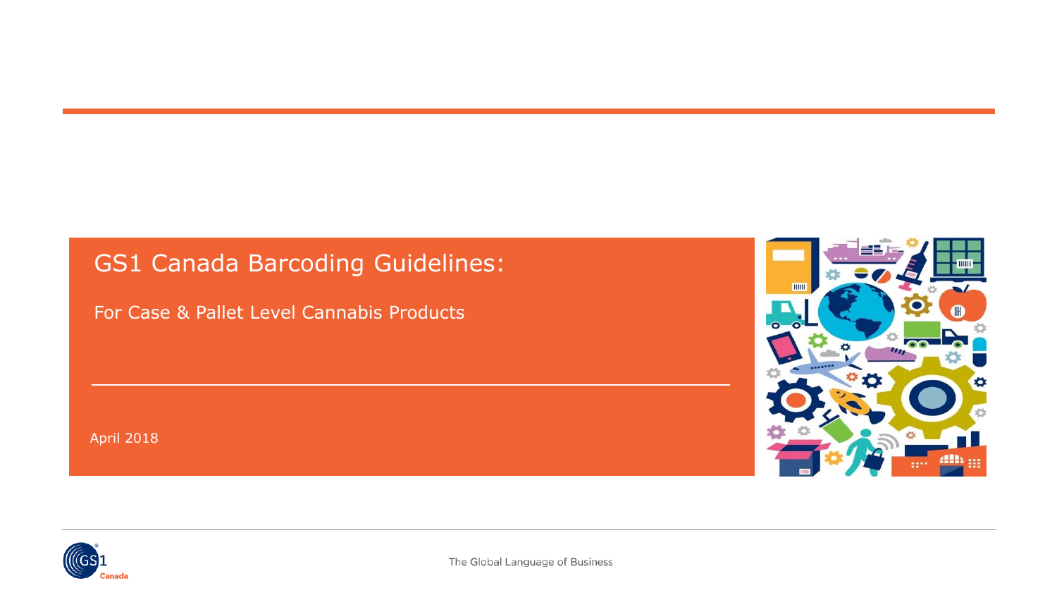# **GS1 Canada Barcoding Guidelines:**

For Case & Pallet Level Cannabis Products

April 2018



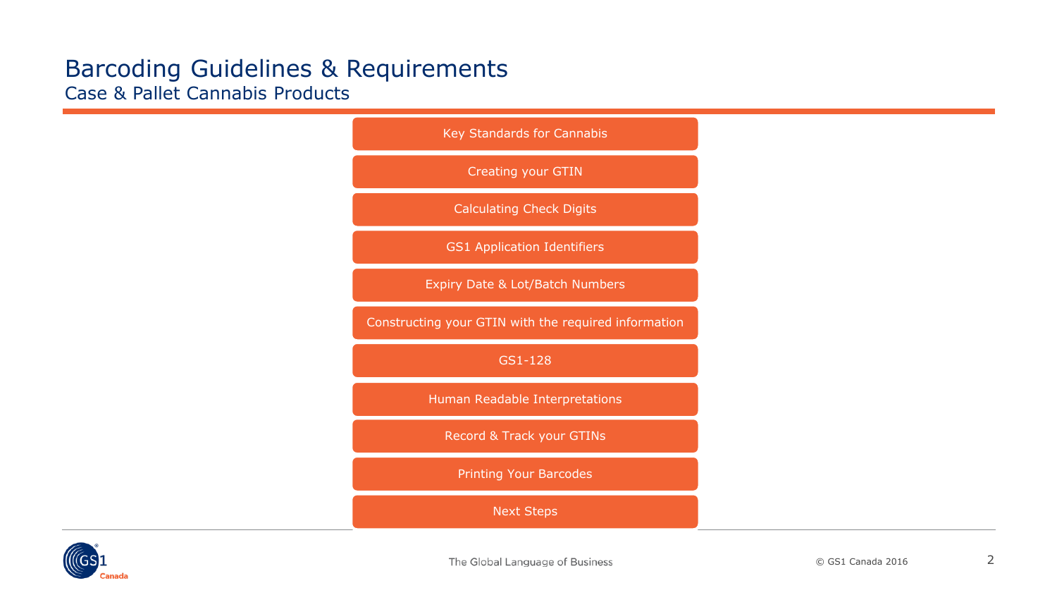

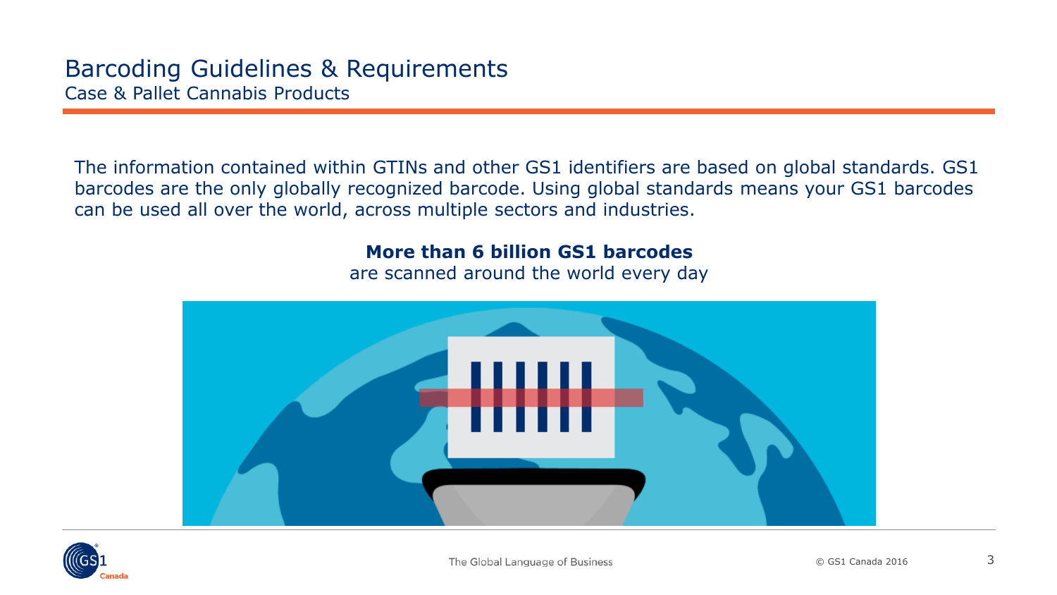The information contained within GTINs and other GS1 identifiers are based on global standards. GS1 barcodes are the only globally recognized barcode. Using global standards means your GS1 barcodes can be used all over the world, across multiple sectors and industries.

#### **More than 6 billion GS1 barcodes**

are scanned around the world every day



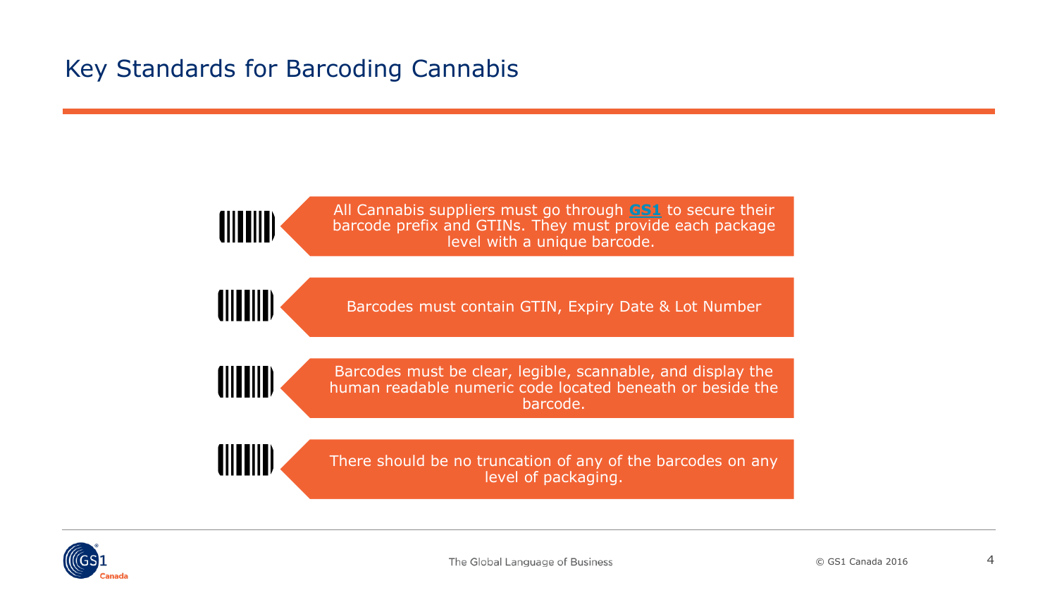## <span id="page-3-0"></span>Key Standards for Barcoding Cannabis

All Cannabis suppliers must go through **[GS1](https://www.gs1.org/)** to secure their barcode prefix and GTINs. They must provide each package level with a unique barcode.

(IIIIIIIII)

(IIIIIIII)

Barcodes must contain GTIN, Expiry Date & Lot Number

(IIIIIIIII)

(IIIIIIIII)

Barcodes must be clear, legible, scannable, and display the human readable numeric code located beneath or beside the barcode.

There should be no truncation of any of the barcodes on any level of packaging.

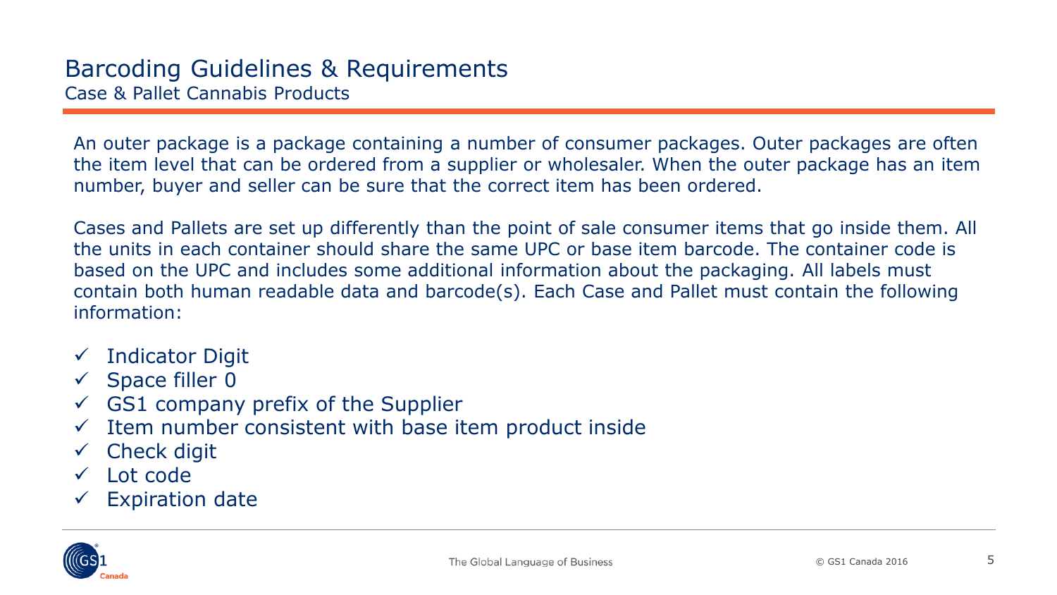An outer package is a package containing a number of consumer packages. Outer packages are often the item level that can be ordered from a supplier or wholesaler. When the outer package has an item number, buyer and seller can be sure that the correct item has been ordered.

Cases and Pallets are set up differently than the point of sale consumer items that go inside them. All the units in each container should share the same UPC or base item barcode. The container code is based on the UPC and includes some additional information about the packaging. All labels must contain both human readable data and barcode(s). Each Case and Pallet must contain the following information:

- $\checkmark$  Indicator Digit
- $\checkmark$  Space filler 0
- $\checkmark$  GS1 company prefix of the Supplier
- $\checkmark$  Item number consistent with base item product inside
- $\checkmark$  Check digit
- Lot code
- $\checkmark$  Expiration date

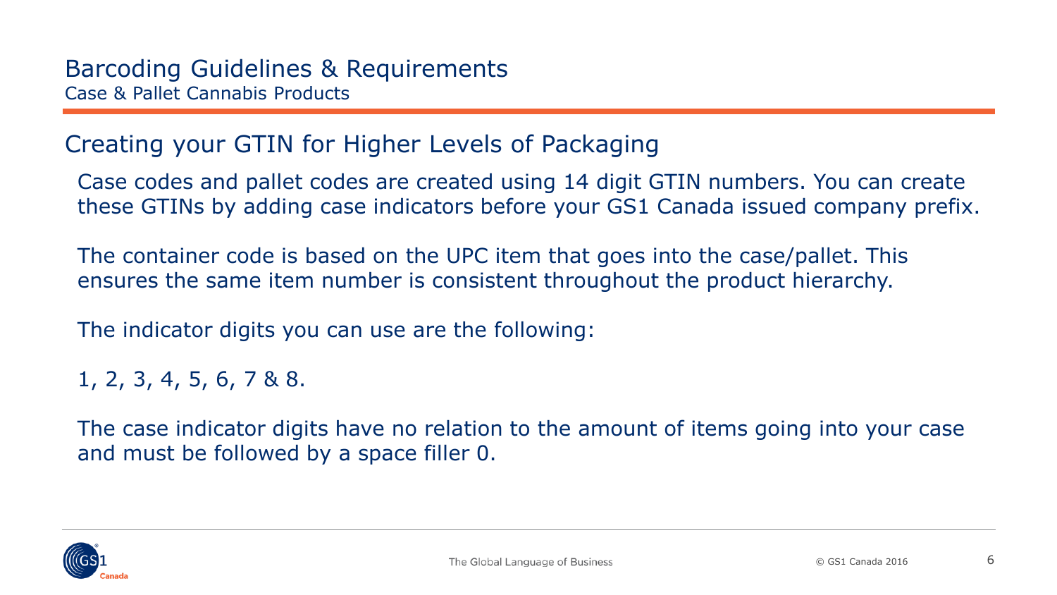## <span id="page-5-0"></span>Creating your GTIN for Higher Levels of Packaging

Case codes and pallet codes are created using 14 digit GTIN numbers. You can create these GTINs by adding case indicators before your GS1 Canada issued company prefix.

The container code is based on the UPC item that goes into the case/pallet. This ensures the same item number is consistent throughout the product hierarchy.

The indicator digits you can use are the following:

1, 2, 3, 4, 5, 6, 7 & 8.

The case indicator digits have no relation to the amount of items going into your case and must be followed by a space filler 0.

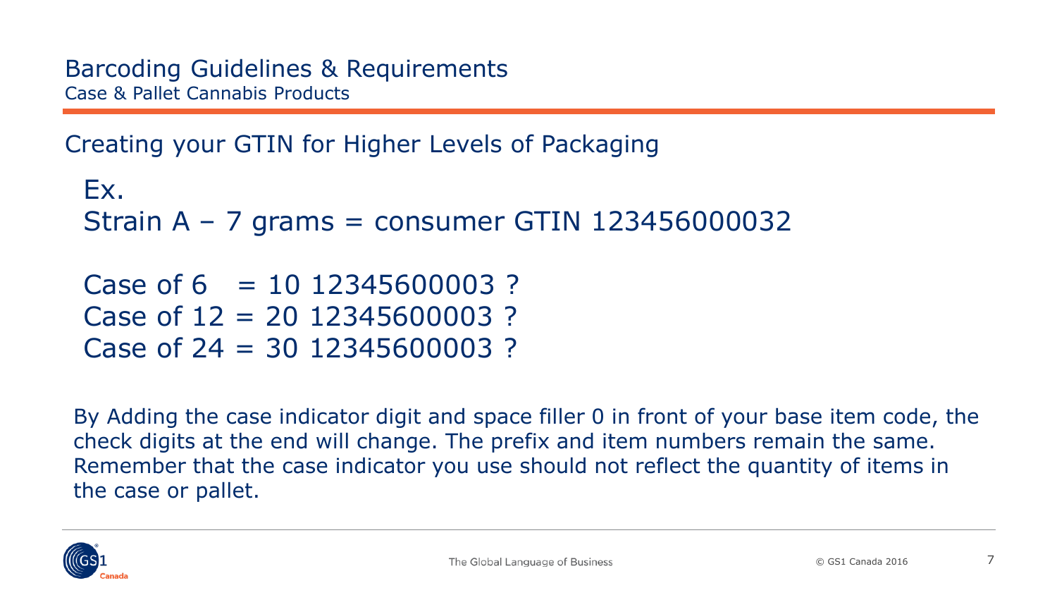Creating your GTIN for Higher Levels of Packaging

```
Ex. 
Strain A – 7 grams = consumer GTIN 123456000032
Case of 6 = 10, 12345600003?
Case of 12 = 20 12345600003 ?
Case of 24 = 30 12345600003 ?
```
By Adding the case indicator digit and space filler 0 in front of your base item code, the check digits at the end will change. The prefix and item numbers remain the same. Remember that the case indicator you use should not reflect the quantity of items in the case or pallet.

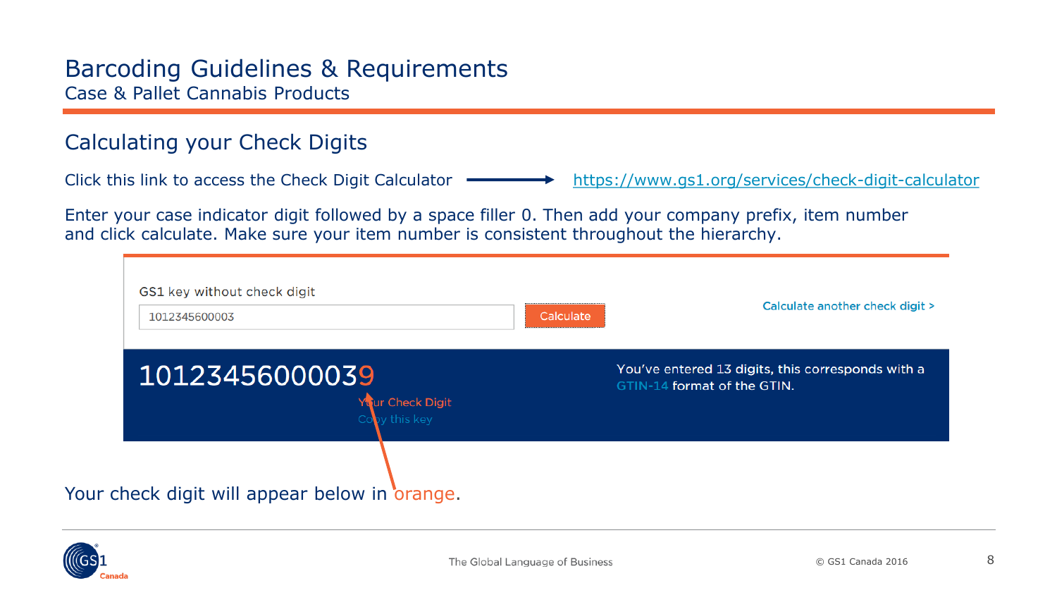#### <span id="page-7-0"></span>Calculating your Check Digits

Click this link to access the Check Digit Calculator  $\longrightarrow$  <https://www.gs1.org/services/check-digit-calculator>

Enter your case indicator digit followed by a space filler 0. Then add your company prefix, item number and click calculate. Make sure your item number is consistent throughout the hierarchy.

| GS1 key without check digit<br>1012345600003        | Calculate | Calculate another check digit >                                                  |
|-----------------------------------------------------|-----------|----------------------------------------------------------------------------------|
| 10123456000039<br>Your Check Digit<br>Copy this key |           | You've entered 13 digits, this corresponds with a<br>GTIN-14 format of the GTIN. |
| Your check digit will appear below in orange.       |           |                                                                                  |

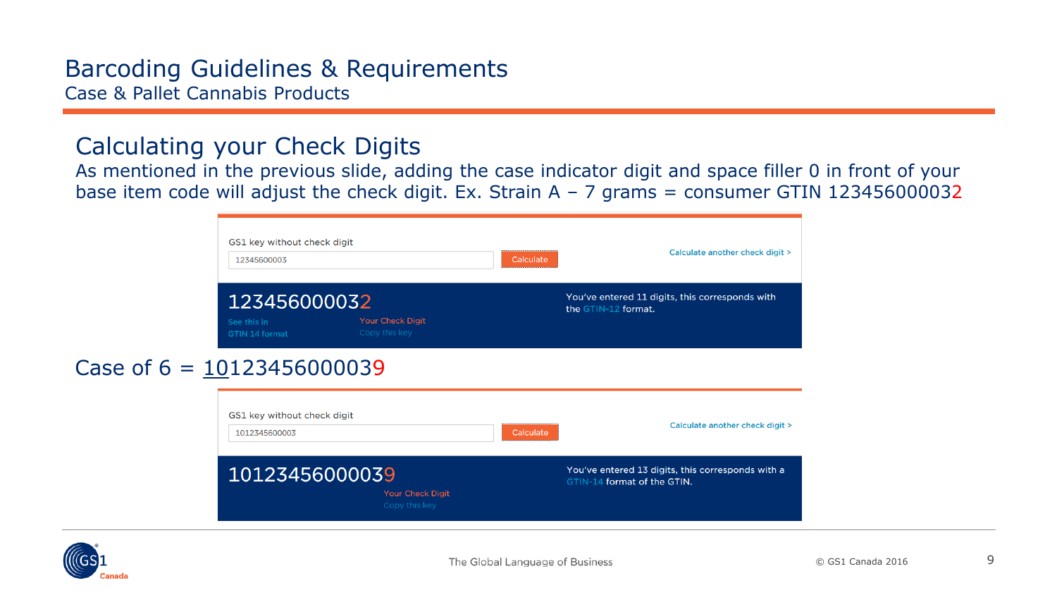### Calculating your Check Digits

As mentioned in the previous slide, adding the case indicator digit and space filler 0 in front of your base item code will adjust the check digit. Ex. Strain A  $-$  7 grams = consumer GTIN 123456000032

| GS1 key without check digit<br>12345600003                                                | Calculate | Calculate another check digit >                                                  |  |  |
|-------------------------------------------------------------------------------------------|-----------|----------------------------------------------------------------------------------|--|--|
| 123456000032<br><b>Your Check Digit</b><br>See this in<br>Copy this key<br>GTIN 14 format |           | You've entered 11 digits, this corresponds with<br>the GTIN-12 format.           |  |  |
| 10123456000039                                                                            |           |                                                                                  |  |  |
| GS1 key without check digit<br>1012345600003                                              | Calculate | Calculate another check digit >                                                  |  |  |
| 10123456000039                                                                            |           | You've entered 13 digits, this corresponds with a<br>GTIN-14 format of the GTIN. |  |  |

**Your Check Diait** 



Case of  $6 = 10$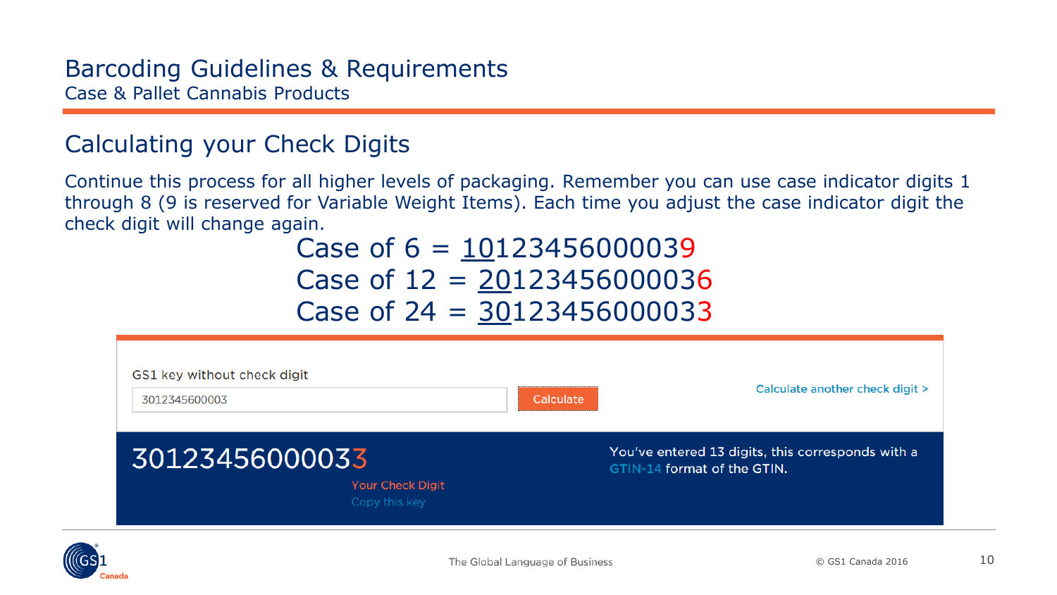### Calculating your Check Digits

Continue this process for all higher levels of packaging. Remember you can use case indicator digits 1 through 8 (9 is reserved for Variable Weight Items). Each time you adjust the case indicator digit the check digit will change again.

# Case of  $6 = 10123456000039$ Case of  $12 = 20123456000036$ Case of  $24 = 30123456000033$

| GS1 key without check digit<br>3012345600003 |                                          | Calculate | Calculate another check digit >                                                  |  |  |
|----------------------------------------------|------------------------------------------|-----------|----------------------------------------------------------------------------------|--|--|
| 30123456000033                               | <b>Your Check Digit</b><br>Copy this key |           | You've entered 13 digits, this corresponds with a<br>GTIN-14 format of the GTIN. |  |  |

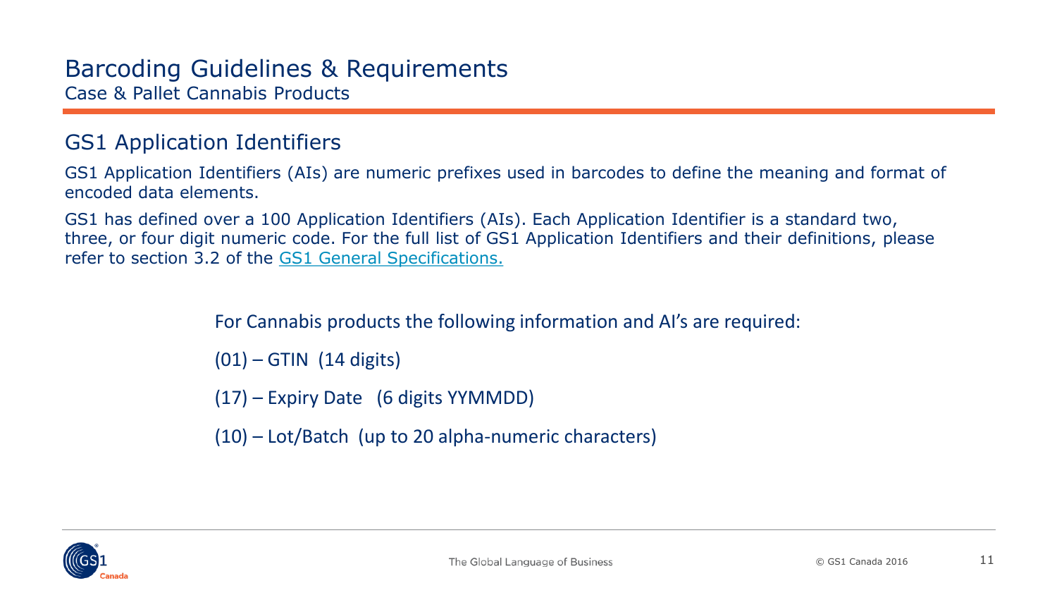#### <span id="page-10-0"></span>GS1 Application Identifiers

GS1 Application Identifiers (AIs) are numeric prefixes used in barcodes to define the meaning and format of encoded data elements.

GS1 has defined over a 100 Application Identifiers (AIs). Each Application Identifier is a standard two, three, or four digit numeric code. For the full list of GS1 Application Identifiers and their definitions, please refer to section 3.2 of the [GS1 General Specifications.](https://www.gs1.org/standards/barcodes-epcrfid-id-keys/gs1-general-specifications)

For Cannabis products the following information and AI's are required:

 $(01)$  – GTIN  $(14 \text{ digits})$ 

(17) – Expiry Date (6 digits YYMMDD)

(10) – Lot/Batch (up to 20 alpha-numeric characters)

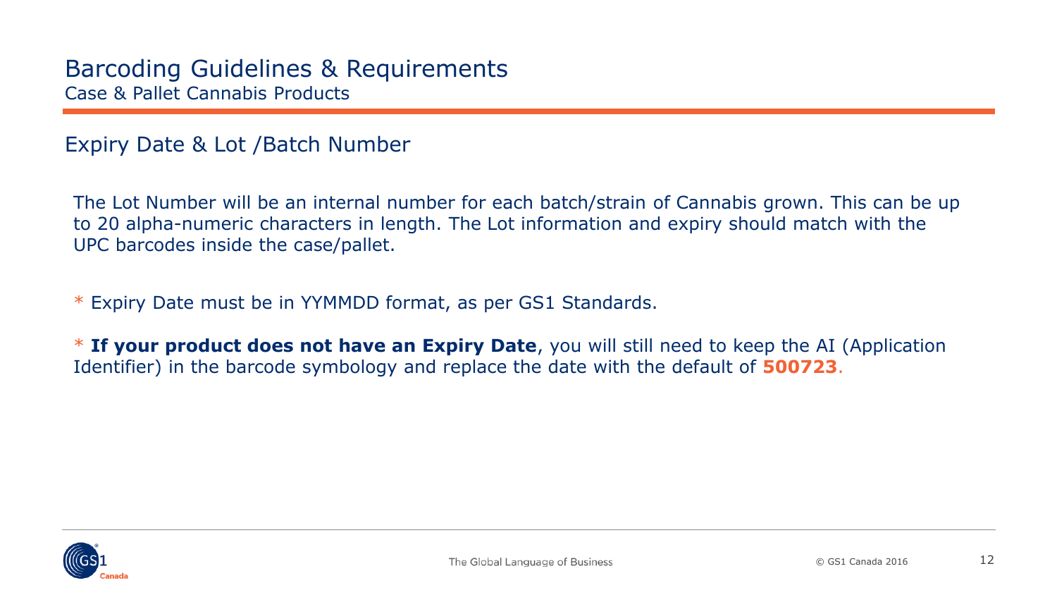#### <span id="page-11-0"></span>Expiry Date & Lot /Batch Number

The Lot Number will be an internal number for each batch/strain of Cannabis grown. This can be up to 20 alpha-numeric characters in length. The Lot information and expiry should match with the UPC barcodes inside the case/pallet.

\* Expiry Date must be in YYMMDD format, as per GS1 Standards.

\* **If your product does not have an Expiry Date**, you will still need to keep the AI (Application Identifier) in the barcode symbology and replace the date with the default of **500723**.

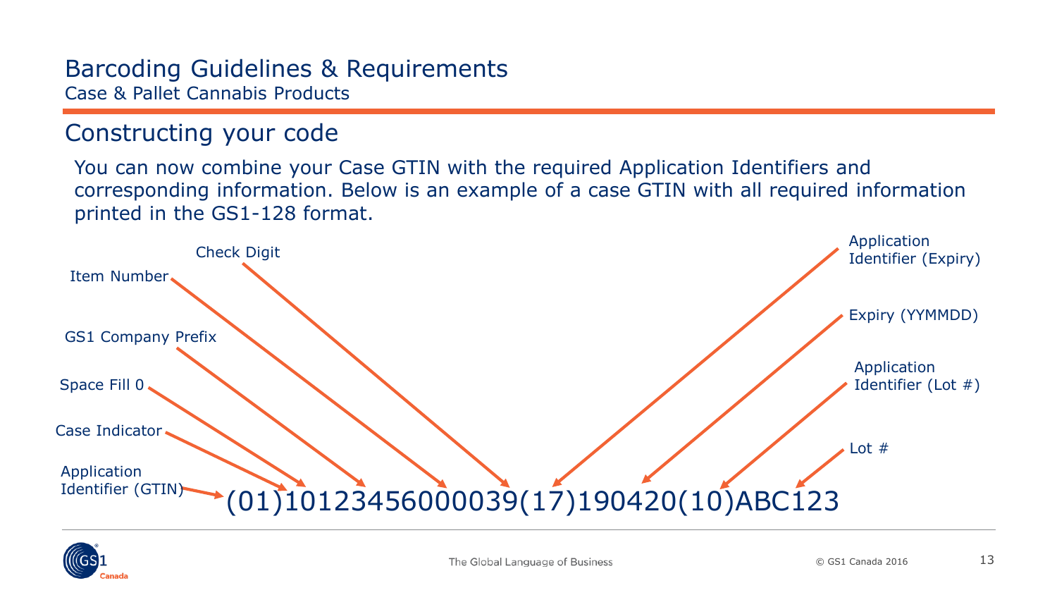### <span id="page-12-0"></span>Constructing your code

You can now combine your Case GTIN with the required Application Identifiers and corresponding information. Below is an example of a case GTIN with all required information printed in the GS1-128 format.



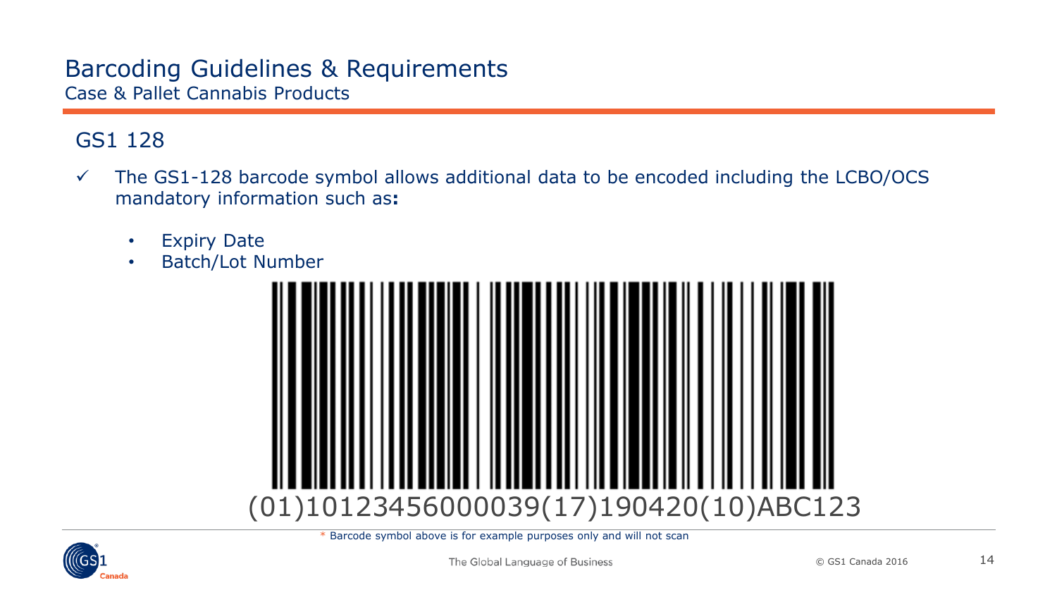#### <span id="page-13-0"></span>GS1 128

- $\checkmark$  The GS1-128 barcode symbol allows additional data to be encoded including the LCBO/OCS mandatory information such as**:**
	- Expiry Date
	- Batch/Lot Number



\* Barcode symbol above is for example purposes only and will not scan

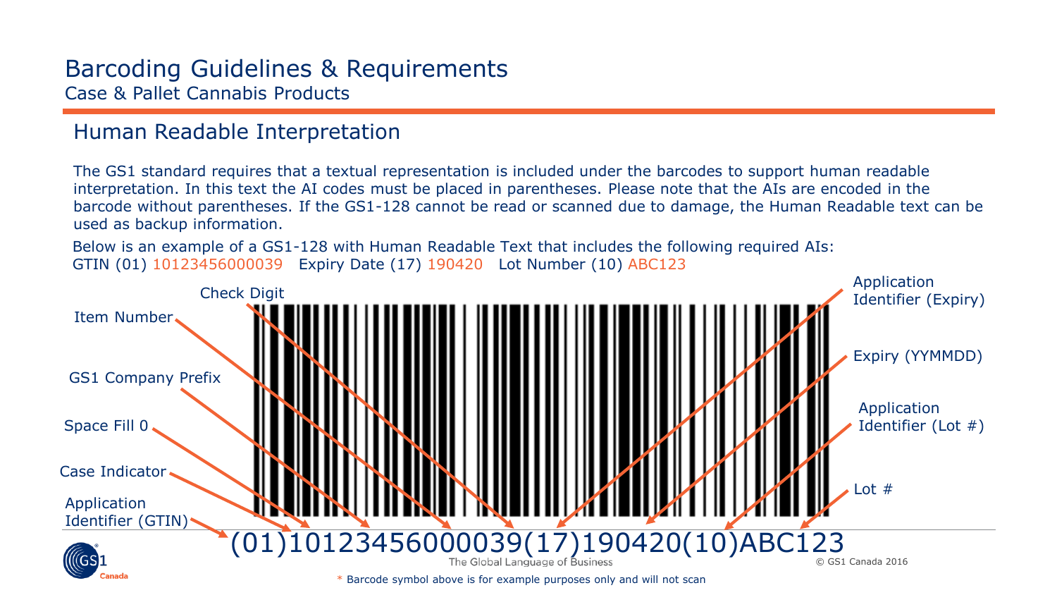#### <span id="page-14-0"></span>Human Readable Interpretation

The GS1 standard requires that a textual representation is included under the barcodes to support human readable interpretation. In this text the AI codes must be placed in parentheses. Please note that the AIs are encoded in the barcode without parentheses. If the GS1-128 cannot be read or scanned due to damage, the Human Readable text can be used as backup information.

Below is an example of a GS1-128 with Human Readable Text that includes the following required AIs: GTIN (01) 10123456000039 Expiry Date (17) 190420 Lot Number (10) ABC123

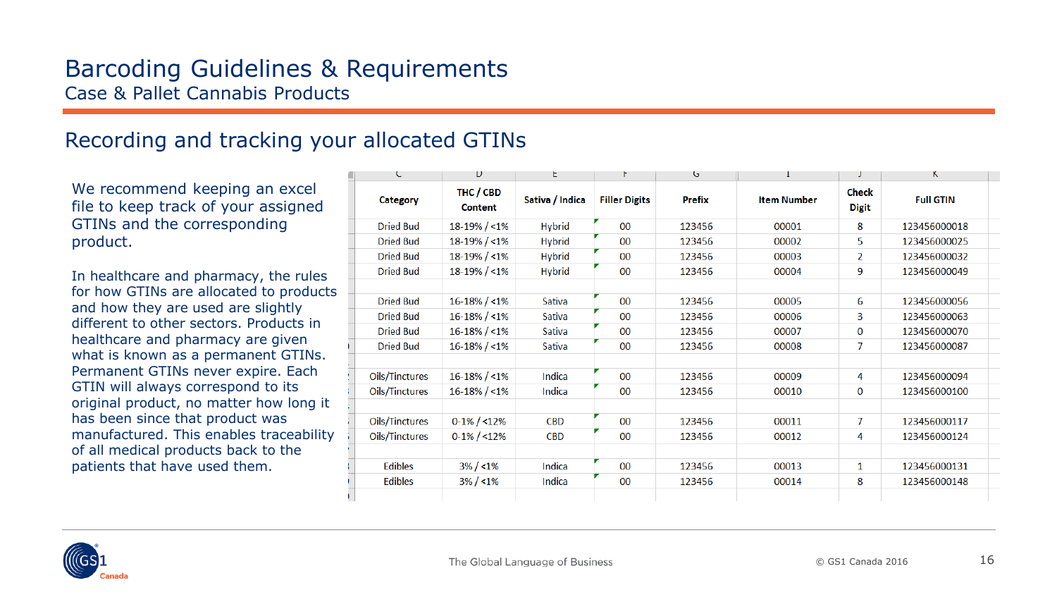#### <span id="page-15-0"></span>Recording and tracking your allocated GTINs

We recommend keeping an excel file to keep track of your assigned GTINs and the corresponding product.

In healthcare and pharmacy, the rules for how GTINs are allocated to products and how they are used are slightly different to other sectors. Products in healthcare and pharmacy are given what is known as a permanent GTINs. Permanent GTINs never expire. Each GTIN will always correspond to its original product, no matter how long it has been since that product was manufactured. This enables traceability of all medical products back to the patients that have used them.

| C                | D                           | t               | r.                   | G             | 1                  | J                            | ĸ                |  |
|------------------|-----------------------------|-----------------|----------------------|---------------|--------------------|------------------------------|------------------|--|
| <b>Category</b>  | THC / CBD<br><b>Content</b> | Sativa / Indica | <b>Filler Digits</b> | <b>Prefix</b> | <b>Item Number</b> | <b>Check</b><br><b>Digit</b> | <b>Full GTIN</b> |  |
| <b>Dried Bud</b> | $18-19\% / < 1\%$           | <b>Hybrid</b>   | 00                   | 123456        | 00001              | 8                            | 123456000018     |  |
| <b>Dried Bud</b> | 18-19% / <1%                | <b>Hybrid</b>   | 00                   | 123456        | 00002              | 5                            | 123456000025     |  |
| <b>Dried Bud</b> | $18-19\% / < 1\%$           | <b>Hybrid</b>   | 00                   | 123456        | 00003              | $\overline{2}$               | 123456000032     |  |
| <b>Dried Bud</b> | $18-19\% / < 1\%$           | <b>Hybrid</b>   | 00                   | 123456        | 00004              | 9                            | 123456000049     |  |
|                  |                             |                 |                      |               |                    |                              |                  |  |
| <b>Dried Bud</b> | $16 - 18\% / < 1\%$         | Sativa          | 00                   | 123456        | 00005              | 6                            | 123456000056     |  |
| <b>Dried Bud</b> | $16 - 18\% / < 1\%$         | Sativa          | 00                   | 123456        | 00006              | 3                            | 123456000063     |  |
| <b>Dried Bud</b> | $16 - 18\% / < 1\%$         | Sativa          | 00                   | 123456        | 00007              | $\bf{0}$                     | 123456000070     |  |
| <b>Dried Bud</b> | $16 - 18\% / < 1\%$         | <b>Sativa</b>   | 00                   | 123456        | 00008              | $\overline{7}$               | 123456000087     |  |
|                  |                             |                 |                      |               |                    |                              |                  |  |
| Oils/Tinctures   | $16 - 18\% / < 1\%$         | Indica          | 00                   | 123456        | 00009              | 4                            | 123456000094     |  |
| Oils/Tinctures   | $16 - 18\% / < 1\%$         | Indica          | 00                   | 123456        | 00010              | $\mathbf 0$                  | 123456000100     |  |
|                  |                             |                 |                      |               |                    |                              |                  |  |
| Oils/Tinctures   | $0-1\% / 12\%$              | <b>CBD</b>      | 00                   | 123456        | 00011              | $\overline{7}$               | 123456000117     |  |
| Oils/Tinctures   | $0-1\% / 12\%$              | <b>CBD</b>      | 00                   | 123456        | 00012              | 4                            | 123456000124     |  |
|                  |                             |                 |                      |               |                    |                              |                  |  |
| <b>Edibles</b>   | $3\% / 1\%$                 | Indica          | 00                   | 123456        | 00013              | $\mathbf{1}$                 | 123456000131     |  |
| <b>Edibles</b>   | $3\% / 1\%$                 | Indica          | 00                   | 123456        | 00014              | 8                            | 123456000148     |  |
|                  |                             |                 |                      |               |                    |                              |                  |  |

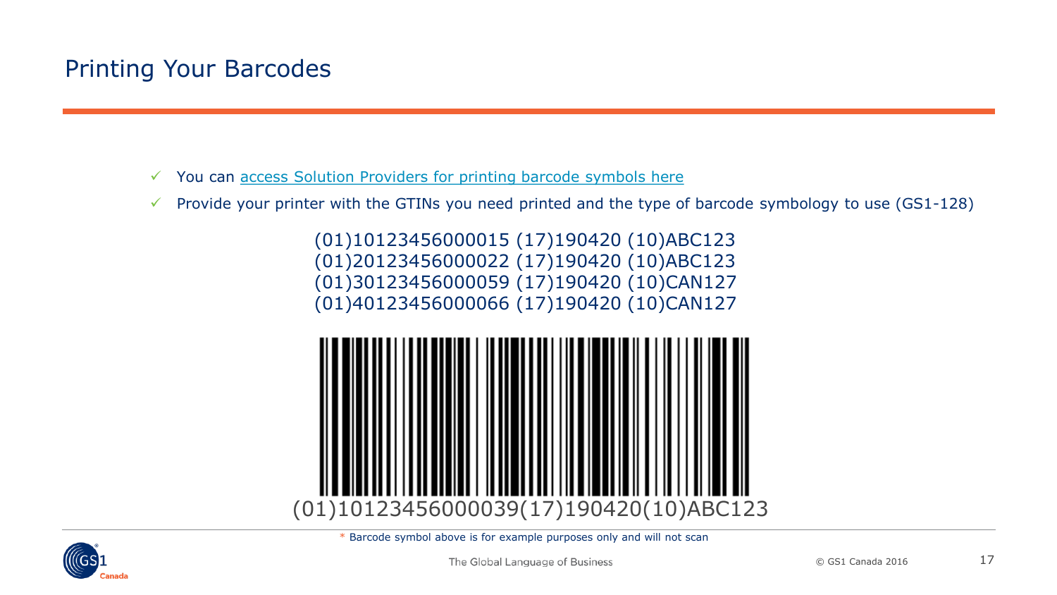## <span id="page-16-0"></span>Printing Your Barcodes

- $\checkmark$  You can [access Solution Providers for printing barcode symbols here](http://www.gs1ca.org/solutions/bcp.asp)
- Provide your printer with the GTINs you need printed and the type of barcode symbology to use  $(GS1-128)$

(01)10123456000015 (17)190420 (10)ABC123 (01)20123456000022 (17)190420 (10)ABC123 (01)30123456000059 (17)190420 (10)CAN127 (01)40123456000066 (17)190420 (10)CAN127